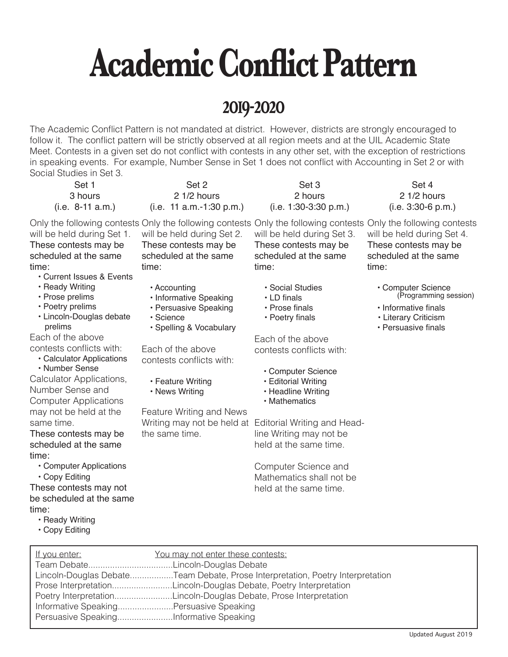## **Academic Conflict Pattern**

### **2019-2020**

The Academic Conflict Pattern is not mandated at district. However, districts are strongly encouraged to follow it. The conflict pattern will be strictly observed at all region meets and at the UIL Academic State Meet. Contests in a given set do not conflict with contests in any other set, with the exception of restrictions in speaking events. For example, Number Sense in Set 1 does not conflict with Accounting in Set 2 or with Social Studies in Set 3.

Set 4 2 1/2 hours (i.e. 3:30-6 p.m.) Only the following contests Only the following contests Only the following contests Only the following contests time: • Informative finals • Literary Criticism • Persuasive finals Set 3 2 hours (i.e. 1:30-3:30 p.m.) will be held during Set 3. These contests may be scheduled at the same time: • Social Studies • LD finals • Prose finals • Poetry finals Each of the above contests conflicts with: • Computer Science • Editorial Writing • Headline Writing • Mathematics Writing may not be held at Editorial Writing and Headline Writing may not be held at the same time. Computer Science and Mathematics shall not be Set 2 2 1/2 hours (i.e. 11 a.m.-1:30 p.m.) will be held during Set 2. These contests may be scheduled at the same time: • Accounting • Informative Speaking • Persuasive Speaking • Science • Spelling & Vocabulary Each of the above contests conflicts with: • Feature Writing • News Writing Feature Writing and News the same time. Set 1 3 hours (i.e. 8-11 a.m.) will be held during Set 1. These contests may be scheduled at the same time: • Current Issues & Events • Ready Writing • Prose prelims • Poetry prelims • Lincoln-Douglas debate prelims Each of the above contests conflicts with: • Calculator Applications • Number Sense Calculator Applications, Number Sense and Computer Applications may not be held at the same time. These contests may be scheduled at the same time: • Computer Applications • Copy Editing These contests may not

- be scheduled at the same time: • Ready Writing
	- Copy Editing

held at the same time.

will be held during Set 4.

These contests may be scheduled at the same

> • Computer Science (Programming session)

| If you enter:                           | You may not enter these contests:                                              |
|-----------------------------------------|--------------------------------------------------------------------------------|
|                                         |                                                                                |
|                                         | Lincoln-Douglas DebateTeam Debate, Prose Interpretation, Poetry Interpretation |
|                                         | Prose InterpretationLincoln-Douglas Debate, Poetry Interpretation              |
|                                         | Poetry InterpretationLincoln-Douglas Debate, Prose Interpretation              |
| Informative SpeakingPersuasive Speaking |                                                                                |
| Persuasive SpeakingInformative Speaking |                                                                                |
|                                         |                                                                                |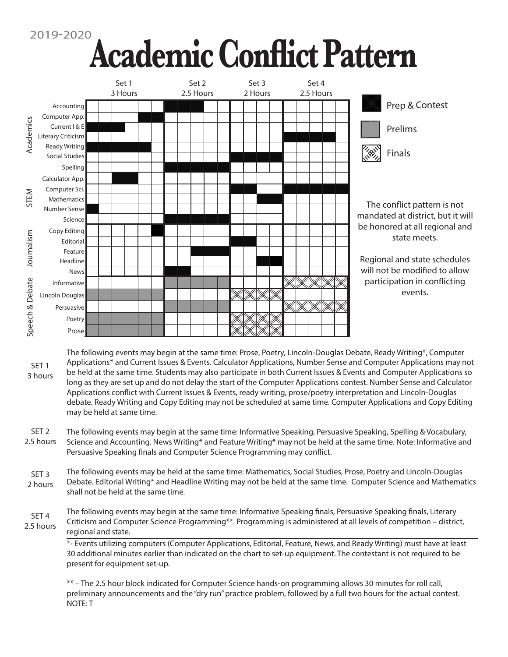# <sup>2019-2020</sup> Academic Conflict Pattern



The following events may begin at the same time: Prose, Poetry, Lincoln-Douglas Debate, Ready Writing\*, Computer Applications\* and Current Issues & Events. Calculator Applications, Number Sense and Computer Applications may not be held at the same time. Students may also participate in both Current Issues & Events and Computer Applications so long as they are set up and do not delay the start of the Computer Applications contest. Number Sense and Calculator Applications conflict with Current Issues & Events, ready writing, prose/poetry interpretation and Lincoln-Douglas debate. Ready Writing and Copy Editing may not be scheduled at same time. Computer Applications and Copy Editing may be held at same time. SET 1 3 hours

The following events may begin at the same time: Informative Speaking, Persuasive Speaking, Spelling & Vocabulary, Science and Accounting. News Writing\* and Feature Writing\* may not be held at the same time. Note: Informative and Persuasive Speaking finals and Computer Science Programming may conflict. SET 2 2.5 hours

The following events may be held at the same time: Mathematics, Social Studies, Prose, Poetry and Lincoln-Douglas Debate. Editorial Writing\* and Headline Writing may not be held at the same time. Computer Science and Mathematics shall not be held at the same time. SET 3 2 hours

The following events may begin at the same time: Informative Speaking finals, Persuasive Speaking finals, Literary Criticism and Computer Science Programming\*\*. Programming is administered at all levels of competition – district, regional and state. SET 4 2.5 hours

> \*- Events utilizing computers (Computer Applications, Editorial, Feature, News, and Ready Writing) must have at least 30 additional minutes earlier than indicated on the chart to set-up equipment. The contestant is not required to be present for equipment set-up.

\*\* – The 2.5 hour block indicated for Computer Science hands-on programming allows 30 minutes for roll call, preliminary announcements and the "dry run" practice problem, followed by a full two hours for the actual contest. NOTE: T